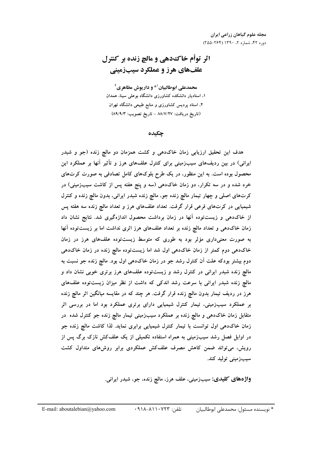اثر توأم خاك دهي و مالچ زنده بر كنترل علف های هرز و عملکرد سیبزمینی

محمدعلی ابوطالبیان<sup>10</sup> و داریوش مظاهری<sup>2</sup> ۱. استادیار دانشکده کشاورزی دانشگاه بوعلی سینا، همدان ۲، استاد پردیس کشاورزی و منابع طبیعی دانشگاه تهران (تاريخ دريافت: ٨٨/٧/٢٧ - تاريخ تصويب: ٨٩/٩/٣)

## چکىدە

هدف این تحقیق ارزیابی زمان خاکدهی و کشت همزمان دو مالچ زنده (جو و شبدر ایرانی) در بین ردیفهای سیبزمینی برای کنترل علفهای هرز و تأثیر آنها بر عملکرد این محصول بوده است. به این منظور، در یک طرح بلوکهای کامل تصادفی به صورت کرتهای خرد شده و در سه تکرار، دو زمان خاکدهی (سه و پنج هفته پس از کاشت سیبزمینی) در کرتهای اصلی و چهار تیمار مالچ زنده جو، مالچ زنده شبدر ایرانی، بدون مالچ زنده و کنترل شیمیایی در کرتهای فرعی قرار گرفت. تعداد علفهای هرز و تعداد مالچ زنده سه هفته پس از خاکدهی و زیستتوده آنها در زمان برداشت محصول اندازهگیری شد. نتایج نشان داد زمان خاکدهی و تعداد مالچ زنده بر تعداد علفهای هرز اثری نداشت اما بر زیستتوده آنها به صورت معنیداری مؤثر بود به طوری که متوسط زیستتوده علفهای هرز در زمان خاکدهی دوم کمتر از زمان خاکدهی اول شد اما زیستتوده مالچ زنده در زمان خاکدهی دوم بیشتر بودکه علت آن کنترل رشد جو در زمان خاکدهی اول بود. مالچ زنده جو نسبت به مالچ زنده شبدر ایرانی در کنترل رشد و زیستتوده علفهای هرز برتری خوبی نشان داد و مالچ زنده شبدر ایرانی با سرعت رشد اندکی که داشت از نظر میزان زیستتوده علفهای هرز در ردیف تیمار بدون مالچ زنده قرار گرفت. هر چند که در مقایسه میانگین اثر مالچ زنده بر عملکرد سیبزمینی، تیمار کنترل شیمیایی دارای برتری عملکرد بود اما در بررسی اثر متقابل زمان خاکده<sub>ی</sub> و مالچ زنده بر عملکرد سیبزمینی تیمار مالچ زنده جو کنترل شده ً در زمان خاکدهی اول توانست با تیمار کنترل شیمیایی برابری نماید. لذا کاشت مالج زنده جو در اوایل فصل رشد سیبزمینی به همراه استفاده تکمیلی از یک علفکش نازک برگ پس از رویش، می تواند ضمن کاهش مصرف علفکش عملکردی برابر روشهای متداول کشت سيب;ميني توليد كند.

واژههای کلیدی: سیبزمینی، علف هرز، مالچ زنده، جو، شبدر ایرانی.

تلفن: ١٢٢٣-١١٨-١٩١٨ \* نويسنده مسئول: محمدعلى ابوطالبيان E-mail: aboutalebian@yahoo.com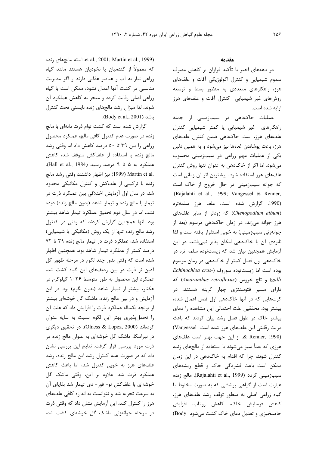et al., 2001; Martin et al., 1999). البته مالچهای زنده که معمولاً از گندمیان یا نخودیان هستند مانند گیاه زراعی نیاز به آب و عناصر غذایی دارند و اگر مدیریت مناسبی در کشت آنها اعمال نشود، ممکن است با گیاه زراعی اصلی رقابت کرده و منجر به کاهش عملکرد آن شوند. لذا میزان رشد مالچهای زنده بایستی تحت کنترل .(Body et al., 2001).

گزارش شده است که کشت توام ذرت دانهای با مالچ زنده در صورت عدم کنترل کافی مالچ، عملکرد محصول زراعی را بین ۳۹ تا ۵۰ درصد کاهش داد اما وقتی رشد مالچ زنده با استفاده از علفکش متوقف شد، کاهش عملکرد به ۵ تا ۹ درصد رسید (Hall et al., 1984). .H (1999) Martin et al (1999) نيز اظهار داشتند وقتي رشد مالچ زنده با ترکیبی از علفکش و کنترل مکانیکی محدود شد، در سال اول آزمایش اختلافی بین عملکرد ذرت در تیمار با مالچ زنده و تیمار شاهد (بدون مالچ زنده) دیده نشد، اما در سال دوم تحقیق عملکرد تیمار شاهد بیشتر بود. آنها همچنین گزارش کردند که وقتی در کنترل رشد مالچ زنده تنها از یک روش (مکانیکی یا شیمیایی) استفاده شد، عملکرد ذرت در تیمار مالچ زنده ۳۹ تا ۷۲ درصد کمتر از عملکرد تیمار شاهد بود. همچنین اظهار شده است که وقتی بذور چند لگوم در مرحله ظهور گل آذین نر ذرت در بین ردیفهای این گیاه کشت شد، عملکرد این محصول به طور متوسط ۱۰۳۶ کیلوگرم در هکتار، بیشتر از تیمار شاهد (بدون لگوم) بود. در این آزمایش و در بین مالچ زنده، ماشک گل خوشهای بیشتر از يونجه يكساله عملكرد ذرت را افزايش داد كه علت آن را تحملپذیری بهتر این لگوم نسبت به سایه عنوان کردهاند (Olness & Lopez, 2000). در تحقیق دیگری در نبراسکا، ماشک گل خوشهای به عنوان مالچ زنده در ذرت مورد بررسی قرار گرفت. نتایج این بررسی نشان داد که در صورت عدم کنترل رشد این مالچ زنده، رشد علفهای هرز به خوبی کنترل شد، اما باعث کاهش عملکرد ذرت شد. علاوه بر این، وقتی ماشک گل خوشهای با علفکش تو- فور- دی تیمار شد بقایای آن به سرعت تجزیه شد و نتوانست به اندازه کافی علفهای هرز را کنترل کند. این آزمایش نشان داد که وقتی ذرت در مرحله جوانهزنی ماشک گل خوشهای کشت شد،

### **مقدمه**

در دهههای اخیر با تأکید فراوان بر کاهش مصرف سموم شیمیایی و کنترل اکولوژیکی آفات و علفهای هرز، راهکارهای متعددی به منظور بسط و توسعه روشهای غیر شیمیایی کنترل آفات و علفهای هرز ارایه شده است.

عملیات خاکدهی در سیبزمینی از جمله راهکارهای غیر شیمیایی یا کمتر شیمیایی کنترل علفهای هرز، است. خاکدهی ضمن کنترل علفهای هرز، باعث پوشاندن غدهها نیز میشود و به همین دلیل یکی از عملیات مهم زراعی در سیبزمینی محسوب میشود. اما اگر از خاکدهی به عنوان تنها روش کنترل علفهای هرز استفاده شود، بیشترین اثر آن زمانی است كه جوانه سيب;مينى در حال خروج از خاک است .(Rajalahti et al., 1999; Vangessel & Renner, (1990. گزارش شده است، علف هرز سلمهتره (*Chenopodium album*) که زودتر از سایر علفهای هرز جوانه میزند، در زمان خاکدهی مرسوم (بعد از جوانهزنی سیبزمینی) به خوبی استقرار یافته است و لذا نابودی آن با خاکدهی امکان پذیر نمیباشد. در این آزمایش همچنین بیان شد که زیستتوده سلمه تره در خاکدهی اول فصل کمتر از خاکدهی در زمان مرسوم بوده است اما زیستتوده سوروف (-Echinochloa crus /8 (*Amaranthus retroflexus*) ^56 Y , (*galli* دارای مسیر فتوسنتزی چهار کربنه هستند، در کرتھایی که در آنها خاکدهی اول فصل اعمال شده، بیشتر بود. محققین علت احتمالی این مشاهده را دمای بیشتر خاک در طول فصل رشد بیان کردند که باعث مزیت رقابتی این علفهای هرز شده است Vangessel) 7 2D'( JC% 5BU\$ JUN \*% 1% .& Renner, 1990) هرزی که بعداً سبز میشوند با استفاده از مالچهای زنده كنترل شوند، چرا كه اقدام به خاكدهی در این زمان ممکن است باعث فشردگی خاک و قطع ریشههای سيبزميني گردد (Rajalahti et al., 1999). مالچ زنده عبارت است از گیاهی پوششی که به صورت مخلوط با گیاه زراعی اصلی به منظور توقف رشد علفهای هرز، كاهش فرسايش خاك، كاهش رواناب، افزايش حاصلخیزی و تعدیل دمای خاک کشت میشود Body)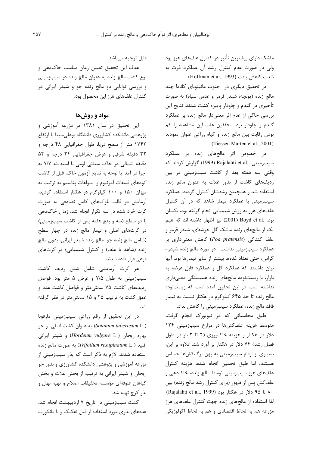ماشک دارای بیشترین تأثیر در کنترل علفهای هرز بود ولی در صورت عدم کنترل رشد آن عملکرد ذرت به شدت كاهش يافت (Hoffman et al., 1993).

در تحقیق دیگری در جنوب مانیتوبای کانادا چند مالچ زنده (یونجه، شبدر قرمز و عدس سیاه) به صورت تأخیری در گندم و چاودار پاییزه کشت شدند. نتایج این بررسی حاکی از عدم اثر معنیدار مالچ زنده بر عملکرد گندم و چاودار بود. محققین علت این مشاهده را کم بودن رقابت بین مالچ زنده و گیاه زراعی عنوان نمودند .(Tiessen Marten et al., 2001)

در خصوص اثر مالچهای زنده بر عملکرد سیب;مینی، .Rajalahti et al (1999) گزارش کردند که وقتی سه هفته بعد از کاشت سیبزمینی در بین ردیفهای کاشت از بذور غلات به عنوان مالچ زنده استفاده شد و همچنین رشدشان کنترل گردید، عملکرد سیبزمینی با عملکرد تیمار شاهد که در آن کنترل علفهای هرز به روش شیمیایی انجام گرفته بود، یکسان بود. .Boyd et al (2001) نيز اظهار داشته اند كه هيچ یک از مالچهای زنده ماشک گل خوشهای، شبدر قرمز و 5\$ 7%&E <2 8 (*Poa pratensis*) &8 B8 D'( عملکرد سیبزمینی نداشت. در مورد مالچ زنده شبدر-گراس، حتی تعداد غدهها بیشتر از سایر تیمارها بود. آنها بیان داشتند که عملکرد کل و عملکرد قابل عرضه به بازار، با زیستتوده مالچهای زنده همبستگی معنیداری نداشته است. در این تحقیق آمده است که زیستتوده مالچ زنده تا حد ۶۴۵ کیلوگرم در هکتار نسبت به تیمار فاقد مالچ زنده، عملکرد سیبزمینی را کاهش نداد.

طبق محاسباتی که در نیویورک انجام گرفت، متوسط هزینه علفکشها در مزارع سیبزمینی ۱۲۴ دلار در هکتار و هزینه خاکورزی (۲ تا ۳ بار در طول فصل رشد) ۷۴ دلار در هکتار بر آورد شد. علاوه بر این، بسیاری از ارقام سیبزمینی به پهن برگکشها حساس هستند، اما طبق تخمین انجام شده، هزینه کنترل علفهای هرز سیبزمینی توسط مالچ زنده، خاکدهی و علفکش پس از ظهور (برای کنترل رشد مالچ زنده) بین ۸۰ تا ۹۵ دلا, در هكتار بود (Rajalahti et al., 1999). لذا استفاده از مالچهای زنده جهت کنترل علفهای هرز مزرعه هم به لحاظ اقتصادي و هم به لحاظ اكولوژيكي

قابل توجيه ميباشد.

هدف این تحقیق تعیین زمان مناسب خاکدهی و نوع کشت مالچ زنده به عنوان مالچ زنده در سیبزمینی و بررسی توانایی دو مالچ زنده جو و شبدر ایرانی در كنترل علفهاى هرز اين محصول بود.

## مواد و روشها

این تحقیق در سال ۱۳۸۱ در مزرعه آموزشی و پژوهشی دانشکده کشاورزی دانشگاه بوعلیسینا با ارتفاع ۱۷۴۲ متر از سطح دریا، طول جغرافیایی ۴۸ درجه و ۳۲ دقیقه شرقی و عرض جغرافیایی ۳۴ درجه و ۵۲ دقیقه شمالی در خاک سیلتی لومی با اسیدیته ۷/۷ به اجرا در آمد. با توجه به نتايج آزمون خاک، قبل از کاشت كودهاى فسفات آمونيوم و سولفات پتاسيم به ترتيب به میزان ۱۵۰ و ۱۰۰ کیلوگرم در هکتار استفاده گردید. آزمایش در قالب بلوکهای کامل تصادفی به صورت کرت خرد شده در سه تکرار انجام شد. زمان خاکدهی با دو سطح (سه و پنج هفته پس از کاشت سیبزمینی) در کرتهای اصلی و تیمار مالچ زنده در چهار سطح (شامل مالچ زنده جو، مالچ زنده شبدر ایرانی، بدون مالچ زنده (شاهد با علف) و کنترل شیمیایی) در کرتهای فرعی قرار داده شدند.

هر كرت آزمايشي شامل شش رديف كاشت سیبزمینی به طول ۷/۵ و عرض ۵ متر بود. فواصل ردیفهای کاشت ۷۵ سانتی متر و فواصل کاشت غدد و عمق کشت به ترتیب ۲۵ و ۱۵ سانتیمتر در نظر گرفته شد.

در این تحقیق از رقم زراعی سیبزمینی مارفونا N &'g% JX8 %( /\$ (*Solanum tuberosum* L.) بهاره ریحان (*Hordeum vulgare* L.) و شبدر ایرانی اقلید (*.Trifolium resupinatum* L) به صورت مالچ زنده استفاده شدند. لازم به ذکر است که بذر سیبزمینی از مزرعه آموزشی و پژوهشی دانشکده کشاورزی و بذور جو ريحان و شبدر ايراني به ترتيب از بخش غلات و بخش گیاهان علوفهای مؤسسه تحقیقات اصلاح و تهیه نهال و بذر كرج تهيه شد.

کشت سیبزمینی در تاریخ ۷ اردیبهشت انجام شد. غدههای بذری مورد استفاده از قبل تفکیک و با مانکوزب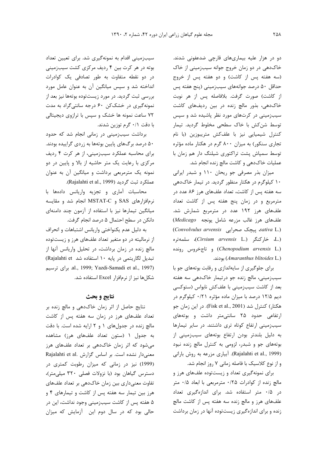دو در هزار علیه بیماریهای قارچی ضدعفونی شدند. خاکدهی در دو زمان خروج جوانه سیبزمینی از خاک (سه هفته پس از کاشت) و دو هفته پس از خروج حداقل ۵۰ درصد جوانههای سیبزمینی (پنج هفته پس از كاشت) صورت گرفت. بلافاصله پس از هر نوبت خاک دهی، بذور مالچ زنده در بین ردیفهای کاشت سیبزمینی در کرتهای مورد نظر پاشیده شد و سپس توسط شن کش با خاک سطحی مخلوط گردید. تیمار كنترل شيميايي نيز با علفكش متريبوزين (با نام تجاری سنکور) به میزان ۸۰۰ گرم در هکتار ماده مؤثره توسط سمپاش پشت تراکتوری شیلنگ دار هم زمان با عملیات خاک دهی و کاشت مالچ زنده انجام شد.

میزان بذر مصرفی جو ریحان ۱۱۰ و شبدر ایرانی ۱۰ کیلوگرم در هکتار منظور گردید. در تیمار خاکدهی سه هفته پس از کاشت، تعداد علفهای هرز ۸۶ عدد در مترمربع و در زمان پنج هفته پس از کاشت تعداد علفهای هرز ۱۹۲ عدد در مترمربع شمارش شد. علفهای هرز غالب مزرعه شامل یونجه Medicago (Convolvulus arvensis ييچک صحرايي sativa L.) (.L. خاركنگر (Cirsium arvensis L.)، سلمەترە (Chenopodium arvensis L.) و تاجخروس رونده بودند. (Amaranthus blitoides L.)

برای جلوگیری از سایهاندازی و رقابت بوتههای جو با سیبزمینی، مالچ زنده جو درتیمار خاکدهی سه هفته بعد از کاشت سیبزمینی با علفکش نابواس (ستوکسی ديم ١٢/۵ درصد با ميزان ماده مؤثره ٠/٢١ كيلوگرم در هکتار) کنترل شد (Fisk et al., 2001). در این زمان جو ارتفاعی حدود ۲۵ سانتی متر داشت و بوتههای سیب;مینی ارتفاع کوتاه تری داشتند. در سایر تیمارها به دلیل بلندتر بودن ارتفاع بوتههای سیبزمینی از بوتههای جو و شبدر، لزومی به کنترل مالچ زنده نبود (Rajalahti et al., 1999). آبیاری مزرعه به روش بارانی و از نوع كلاسيك با فاصله زمانى ٧ روز انجام شد.

برای نمونهگیری تعداد و زیستتوده علفهای هرز و مالچ زنده از کوادرات ۰/۲۵ مترمربعی با ابعاد ۰/۵ متر در ۰/۵ متر استفاده شد. برای اندازهگیری تعداد علفهای هرز و مالچ زنده سه هفته پس از کاشت مالچ زنده و برای اندازهگیری زیستتوده آنها در زمان برداشت

سیب;مینی اقدام به نمونهگیری شد. برای تعیین تعداد بوته در هر کرت بین ۴ ردیف مرکزی کشت سیبزمینی در دو نقطه متفاوت به طور تصادفی یک کوادرات انداخته شد و سپس میانگین آن به عنوان عامل مورد بررسی ثبت گردید. در مورد زیستتوده بوتهها نیز بعد از نمونهگیری در خشککن ۶۰ درجه سانتیگراد به مدت ۷۲ ساعت نمونه ها خشک و سپس با ترازوی دیجیتالی با دقت ۰/۱ گرم توزین شدند.

برداشت سیبزمینی در زمانی انجام شد که حدود ۵۰ درصد برگهای پایین بوتهها به زردی گراییده بودند. برای محاسبه عملکرد سیبزمینی، از هر کرت ۴ ردیف مرکزی با رعایت یک متر حاشیه از بالا و پایین در دو نمونه یک مترمربعی برداشت و میانگین آن به عنوان عملكرد ثبت گرديد (Rajalahti et al., 1999).

محاسبات آماری و تجزیه واریانس دادهها با نرمافزارهای SAS و MSTAT-C انجام شد و مقایسه میانگین تیمارها نیز با استفاده از آزمون چند دامنهای دانکن در سطح احتمال ۵ درصد انجام گرفت.

به دليل عدم يكنواختى واريانس اشتباهات و انحراف از نرمالیته در دو متغیر تعداد علفهای هرز و زیستتوده مالچ زنده در زمان برداشت، در تحلیل واریانس آنها از تبدیل لگاریتمی در پایه ١٠ استفاده شد Rajalahti et) .al., 1999; Yazdi-Samadi et al., 1997) برای ترسیم شكلها نيز از نرمافزار Excel استفاده شد.

### نتايج و بحث

نتایج حاصل از اثر زمان خاکدهی و مالچ زنده بر تعداد علفهای هرز در زمان سه هفته پس از کاشت مالج زنده در جدولهای ١ و ٢ ارايه شده است. با دقت به جدول ۱ (ستون تعداد علفهای هرز) مشاهده میشود که اثر زمان خاکدهی بر تعداد علفهای هرز Rajalahti et al. معنى دار نشده است. بر اساس گزارش (1999) نیز در زمانی که میزان رطوبت کمتری در دسترس گیاهان بود (با نزولات فصلی ۳۲۰ میلی متر)، تفاوت معنیداری بین زمان خاکدهی بر تعداد علفهای هرز بین تیمار سه هفته پس از کاشت و تیمارهای ۴ و ۵ هفته پس از کاشت سیبزمینی وجود نداشت، این در حالی بود که در سال دوم این آزمایش که میزان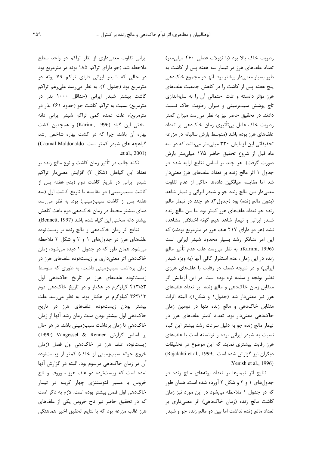رطوبت خاک بالا بود (با نزولات فصلی ۴۶۰ میلی متر) تعداد علفهای هرز در تیمار سه هفته پس از کاشت به طور بسیار معنیدار بیشتر بود. آنها در مجموع خاکدهی پنج هفته پس از کاشت را در کاهش جمعیت علفهای هرز مؤثر دانسته و علت احتمالی آن را به سایهاندازی تاج پوشش سیبزمینی و میزان رطوبت خاک نسبت دادند. در تحقیق حاضر نیز به نظر می سد میزان کمتر رطوبت خاک عامل بی¤أثیری زمان خاکدهی بر تعداد علفهای هرز بوده باشد (متوسط بارش سالیانه در مزرعه تحقیقاتی این آزمایش ۳۳۰ میلی متر میباشد که در سه ماه قبل از شروع تحقیق حاضر ۱۷۵ میلی متر بارش صورت گرفت). هر چند بر اساس نتایج ارایه شده در جدول ۱ اثر مالچ زنده بر تعداد علفهای هرز معنیدار شد اما مقایسه میانگین دادهها حاکی از عدم تفاوت معنیدار بین مالچ زنده جو و شبدر ایرانی و تیمار شاهد (بدون مالچ زنده) بود (جدول٢). هر چند در تيمار مالچ زنده جو تعداد علفهای هرز کمتر بود اما بین مالچ زنده شبدر ایرانی و تیمار شاهد هیچ گونه اختلافی مشاهده نشد (هر دو دارای ۲۱۷ علف هرز در مترمربع بودند) که این امر نشانگر رشد بسیار محدود شبدر ایرانی است (Karimi, 1996). به نظر میرسد علت عدم تأثیر مالچ زنده در این زمان، عدم استقرار کافی آنها (به ویژه شبدر ایرانی) و در نتیجه ضعف در رقابت با علفهای هرزی نظیر یونجه و سلمه تره بوده است. در این آزمایش اثر متقابل زمان خاكدهي و مالچ زنده بر تعداد علفهاي هرز نيز معنى دار شد (جدول ١ و شكل ١). البته اثرات متقابل خاکدهی و مالچ زنده تنها در دومین زمان خاکدهی معنیدار بود. تعداد کمتر علفهای هرز در تیمار مالچ زنده جو به دلیل سرعت رشد بیشتر این گیاه نسبت به شبدر ایرانی بوده و توانسته است با علفهای هرز رقابت بیشتری نماید. که این موضوع در تحقیقات (Rajalahti et al., 1999; دیگران نیز گزارش شده است Yenish et al., 1996).

نتایج اثر تیمارها بر تعداد بوتههای مالچ زنده در جدولهای ۱ و ۲ و شکل ۲ آورده شده است. همان طور که در جدول ۱ ملاحظه میشود در این مورد نیز زمان کاشت مالچ زنده (زمان خاکدهی) اثر معنیداری بر تعداد مالچ زنده نداشت اما بین دو مالچ زنده جو و شبدر

ایرانی تفاوت معنیداری از نظر تراکم در واحد سطح ملاحظه شد (جو دارای تراکم ۱۸۵ بوته در مترمربع بود در حالی که شبدر ایرانی دارای تراکم ۷۹ بوته در مترمربع بود (جدول ٢). به نظر میرسد علیرغم تراکم کاشت بیشتر شبدر ایرانی (حداقل ۱۰۰۰ بذر در مترمربع) نسبت به تراکم کاشت جو (حدود ۲۶۱ بذر در مترمربع)، علت عمده کمی تراکم شبدر ایرانی دانه سختی این گیاه (Karimi, 1996) و همچنین کشت بهاره آن باشد، چرا که در کشت بهاره شاخص رشد گیاهچه های شبد, کمتر است Caamal-Maldonaldo) .et al., 2001)

نکته جالب در تأثیر زمان کاشت و نوع مالچ زنده بر تعداد این گیاهان (شکل ۲) افزایش معنیدار تراکم شبدر ایرانی در تاریخ کاشت دوم (پنج هفته پس از كاشت سيب;ميني) در مقايسه با تاريخ كاشت اول (سه هفته پس از کاشت سیبزمینی) بود. به نظر میرسد دمای بیشتر محیط در زمان خاکدهی دوم باعث کاهش بیشتر دانه سختی این گیاه شده باشد (Bennett, 1997).

نتایج اثر زمان خاکدهی و مالچ زنده بر زیستتوده علفهای هرز در جدولهای ۱ و ۲ و شکل ۳ ملاحظه میشود. همان طور که در جدول ۱ دیده میشود، زمان خاکدهی اثر معنیداری بر زیستتوده علفهای هرز در زمان برداشت سیبزمینی داشت، به طوری که متوسط زیستتوده علفهای هرز در تاریخ خاکدهی اول ۴۱۳/۵۳ کیلوگرم در هکتار و در تاریخ خاکدهی دوم ۳۶۳/۱۳ کیلوگرم در هکتار بود. به نظر می رسد علت بیشتر بودن زیستتوده علفهای هرز در تاریخ خاکدهی اول بیشتر بودن مدت زمان رشد آنها از زمان خاکدهی تا زمان برداشت سیبزمینی باشد. در هر حال بر اساس گزارش Vangessel & Renner (1990) زیستتوده علف هرز در خاکدهی اول فصل (زمان خروج جوانه سیبزمینی از خاک) کمتر از زیستتوده آن در زمان خاکدهی مرسوم بود، البته در گزارش آنها آمده است که زیستتوده دو علف هرز سوروف و تاج خروس با مسیر فتوسنتزی چهار کربنه در تیمار خاکدهی اول فصل بیشتر بوده است. لازم به ذکر است که در تحقیق حاضر نیز تاج خروس یکی از علفهای هرز غالب مزرعه بود که با نتایج تحقیق اخیر هماهنگی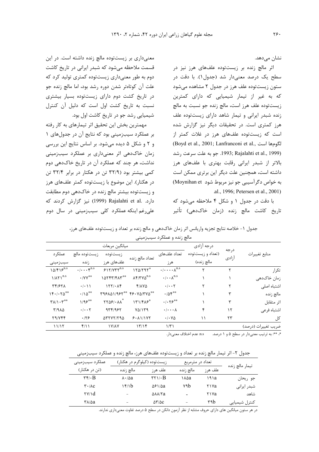نشان مے دھد.

اثر مالچ زنده بر زیستتوده علفهای هرز نیز در سطح یک درصد معنیدار شد (جدول۱). با دقت در ستون زیستتوده علف هرز در جدول ۲ مشاهده میشود که به غیر از تیمار شیمیایی که دارای کمترین زیستتوده علف هرز است، مالچ زنده جو نسبت به مالچ زنده شبدر ایرانی و تیمار شاهد دارای زیستتوده علف هرز کمتری است. در تحقیقات دیگر نیز گزارش شده است که زیستتوده علفهای هرز در غلات کمتر از (Boyd et al., 2001; Lanfranconi et al., الكومها است (1999) Pajalahti et al., 1999. جو به علت سرعت رشد. بالاتر از شبدر ایرانی رقابت بهتری با علفهای هرز داشته است، همچنین علت دیگر این برتری ممکن است به خواص دگرآسیبی جو نیز مربوط شود Moynihan et) .al., 1996; Petersen et al., 2001)

با دقت در جدول ۱ و شکل ۴ ملاحظه میشود که تاريخ كاشت مالچ زنده (زمان خاكدهي) تأثير

معنی داری بر زیست توده مالچ زنده داشته است. در این قسمت ملاحظه می شود که شبدر ایرانی در تاریخ کاشت دوم به طور معنیداری زیستتوده کمتری تولید کرد که علت آن کوتاهتر شدن دوره رشد بود، اما مالچ زنده جو در تاریخ کشت دوم دارای زیستتوده بسیار بیشتری نسبت به تاریخ کشت اول است که دلیل آن کنترل شیمیایی رشد جو در تاریخ کاشت اول بود.

مهمترین بخش این تحقیق اثر تیمارهای به کار رفته بر عملکرد سیبزمینی بود که نتایج آن در جدولهای ١ و ٢ و شكل ۵ ديده مى شود. بر اساس نتايج اين بررسى زمان خاکدهی اثر معنیداری بر عملکرد سیبزمینی نداشت، هر چند که عملکرد آن در تاریخ خاکدهی دوم کمی بیشتر بود (۳۲/۹ تن در هکتار در برابر ۳۲/۴ تن در هکتار). این موضوع با زیستتوده کمتر علفهای هرز و زیستتوده بیشتر مالچ زنده در خاک دهی دوم مطابقت دارد. .Rajalahti et al (1999) نيز گزارش كردند كه علی رغم اینکه عملکرد کلی سیبزمینی در سال دوم

جدول ١- خلاصه نتايج تجزيه واريانس اثر زمان خاک\هي و مالچ زنده بر تعداد و زيستتوده علفهاي هرز،

|                     |               | درجه آزادى        | ميانگين مربعات                                                    |                                        |                                      |                                     |                                                    |  |  |
|---------------------|---------------|-------------------|-------------------------------------------------------------------|----------------------------------------|--------------------------------------|-------------------------------------|----------------------------------------------------|--|--|
| منابع تغييرات       | درجه<br>آزادى | (تعداد و زيستتوده | تعداد علفهای                                                      |                                        | زيست توده                            | زيستتوده مالچ                       | عملکر د                                            |  |  |
|                     |               | مالچ زنده)        | هر ز                                                              | تعداد مالچ زنده                        | علفهای هرز                           | زنده                                | سيبزمينى                                           |  |  |
| تک ا,               |               |                   | $\cdot/\cdot\cdot\cdot\lambda^{n.s}$                              | 170/797                                | $515/VTT^{n.s}$                      | $\cdot/\cdots$ $\zeta^{\text{n.s}}$ | $10/F15^{n.s}$                                     |  |  |
| زمان خاکدهی         |               |                   | $\cdot/\cdot\cdot\Lambda^{\text{n.s}}$                            | $\Lambda$ ۴/٣٧ $\Delta$ <sup>n.s</sup> | $\text{M}\text{N}\text{N}$           | $\cdot$ /YY <sup>**</sup>           | $1/\lambda \Upsilon 1^{n.s}$                       |  |  |
| اشتباه اصلى         |               |                   | $\cdot/\cdot\cdot\tau$                                            | Y/AYQ                                  | $157/-1$                             | $\cdot/\cdot$ ) )                   | <b>٣۴/۶٢٨</b>                                      |  |  |
| مالچ زنده           |               |                   | $\cdot$ /04**                                                     | 49. YA/TYA**                           | ٣٩۶٨٥١/٩۶٢**                         | $\cdot/\mathrm{10}$ <sup>**</sup>   | 15.1.70                                            |  |  |
| اثر متقابل          | ٣             |                   | $\cdot$ / $\cdot$ $\cdot$ $\cdot$ $\cdot$ $\cdot$ $\cdot$ $\cdot$ | <b>١٣١/۴٨۶*</b>                        | $YY\Delta S/\cdot \Lambda \Lambda^*$ | 1/95                                | $\mathbf{Y}\Lambda/\mathbf{1}\cdot\mathbf{Y}^{**}$ |  |  |
| اشتباه فرعى         | ۱۲            | ۴                 | $\cdot$ / $\cdot$ $\cdot$ $\wedge$                                | $Y\Delta/179$                          | 9591985                              | $\cdot/\cdot\cdot$ $\mathsf{Y}$     | $T/9A\Delta$                                       |  |  |
| کل                  | ۲۳            | ۱۱                | $\cdot$ / $\cdot$ $\vee$ $\Delta$                                 | 9.111Y                                 | $\Delta$                             | .179                                | Y9/YFF                                             |  |  |
| ضريب تغييرات (درصد) |               |                   | 1/T1                                                              | 15/15                                  | <b>IVIAY</b>                         | f(1)                                | 11/17                                              |  |  |
|                     |               |                   |                                                                   |                                        |                                      |                                     |                                                    |  |  |

مالچ زنده و عملکرد سیبزمینی

\*، \*\*: به ترتيب معنى دار در سطح ۵ و ۱ درصد. د. . . . . عدم اختلاف معنى دار.

جدول ۲- اثر تیمار مالچ زنده بر تعداد و زیستتوده علفهای هرز، مالچ زنده و عملکرد سیبزمینی

| عملکرد سیبزمینی                         | زیستتوده (کیلوگرم در هکتار) |                                       | تعداد در مترمربع |         | تيمار مالچ زنده |  |
|-----------------------------------------|-----------------------------|---------------------------------------|------------------|---------|-----------------|--|
| (تن در هکتار)                           | مالچ ; نده                  | علف هرز                               | مالچ ;نده        | علف هي: |                 |  |
| $\mathbf{r}\mathbf{r}/\mathbf{B}$       | $\lambda \cdot \Delta a$    | $\tau \tau \cup B$                    | ∖∧∆а             | ۱۹۱a    | جو ريحان        |  |
| $\mathbf{r} \cdot / \lambda \mathbf{c}$ | $\frac{15}{10}$             | $\Delta$ ۶۱/ $\Delta$ a               | ۷٩h              | ۲۱۷a    | شبدر ایرانی     |  |
| $\forall y \in \mathcal{A}$             | $\overline{\phantom{a}}$    | длл/та                                |                  | ۲۱۷a    | شاهد            |  |
| ۳۸/۵a                                   | $\overline{\phantom{a}}$    | $\Delta \mathbf{Y}/\Delta \mathbf{C}$ | -                | ۳٩h     | كنترل شيميايي   |  |

در هر ستون میانگین های دارای حروف مشابه از نظر آزمون دانکن در سطح ۵ درصد تفاوت معنیداری ندارند.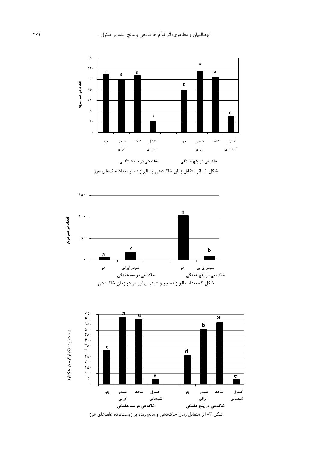

شکل ۱- اثر متقابل زمان خاکدهی و مالچ زنده بر تعداد علفهای هرز



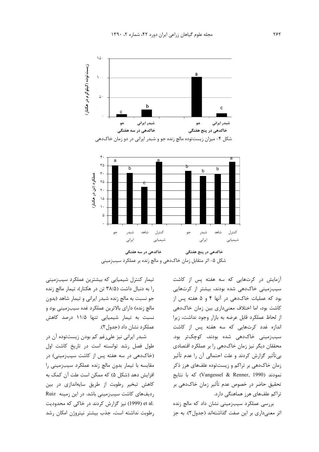

آزمایش در کرتهایی که سه هفته پس از کاشت سیبزمینی خاکدهی شده بودند، بیشتر از کرتهایی بود که عملیات خاکدهی در آنها ۴ و ۵ هفته پس از كاشت بود، اما اختلاف معنىدارى بين زمان خاكدهى از لحاظ عملکرد قابل عرضه به بازار وجود نداشت، زيرا اندازه غدد کرتهایی که سه هفته پس از کاشت سیبزمینی خاکدهی شده بودند، کوچکتر بود. محققان دیگر نیز زمان خاکدهی را بر عملکرد اقتصادی بیتأثیر گزارش کردند و علت احتمالی آن را عدم تأثیر زمان خاکدهی بر تراکم و زیستتوده علفهای هرز ذکر  $\epsilon$  نمودند (Vangessel & Renner, 1990) که با نتایج j تحقيق حاضر در خصوص عدم تأثير زمان خاکدهي بر تراکم علفهای هرز هماهنگی دارد.

بررسی عملکرد سیبزمینی نشان داد که مالچ زنده اثر معنىدارى بر اين صفت گذاشتهاند (جدول٢). به جز

تیمار کنترل شیمیایی که بیشترین عملکرد سیبزمینی را به دنبال داشت (۳۸/۵ تن در هکتار)، تیمار مالچ زنده جو نسبت به مالچ زنده شبدر ایرانی و تیمار شاهد (بدون مالچ زنده) دارای بالاترین عملکرد غده سیبزمینی بود و نسبت به تیمار شیمیایی تنها ۱۱/۵ درصد کاهش عملكرد نشان داد (جدول۲).

شبدر ایرانی نیز علیرغم کم بودن زیستتوده آن در طول فصل رشد توانسته است در تاريخ كاشت اول (خاکدهی در سه هفته پس از کاشت سیبزمینی) در مقایسه با تیمار بدون مالچ زنده عملکرد سیبزمینی را افزایش دهد (شکل ۵) که ممکن است علت آن کمک به كاهش تبخير رطوبت از طريق سايهاندازي در بين Ruiz ردیفهای کاشت سیبزمینی باشد. در این زمینه et al. (1999) نیز گزارش کردند در خاکی که محدودیت رطوبت نداشته است، جذب بيشتر نيتروژن امكان رشد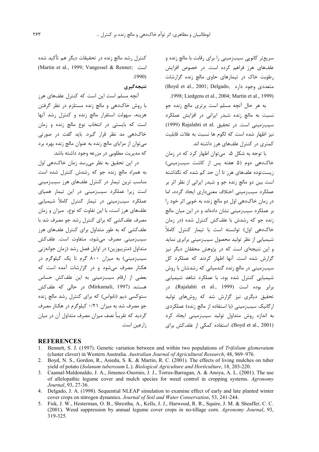سریع تر کانویی سیب;مینی را برای رقابت با مالچ زنده و علفهای هرز فراهم کرده است. در خصوص افزایش رطوبت خاک در تیمارهای حاوی مالچ زنده گزارشات (Boyd et al., 2001; Delgado, متعددی وجود دارد .1998; Liedgens et al., 2004; Martin et al., 1999)

به هر حال آنچه مسلم است برتری مالچ زنده جو نسبت به مالچ زنده شبدر ایرانی در افزایش عملکرد (1999) Rajalahti et al. تحقيق (1999) Rajalahti et al. نيز اظهار شده است كه لگوم ها نسبت به غلات قابليت کمتری در کنترل علفهای هرز داشته اند.

با توجه به شکل ۵، میتوان اظهار کرد که در زمان خاکدهی دوم (۵ هفته پس از کاشت سیبزمینی) زیستتوده علفهای هرز تا آن حد کم شده که نگذاشته است بين دو مالچ زنده جو و شبدر ايراني از نظر اثر بر عملکرد سیب;مینی اختلاف معنیداری ایجاد گردد، اما در زمان خاک دهی اول دو مالچ زنده به خوبی اثر خود را بر عملکرد سیبزمینی نشان دادهاند و در این میان مالچ زنده جو که رشدش با علفکش کنترل شده (در زمان خاکدهی اول) توانسته است با تیمار کنترل کاملاً شیمیایی از نظر تولید محصول سیبزمینی برابری نماید و این نتیجهای است که در پژوهش محققان دیگر نیز گزارش شده است. آنها اظهار کردند که عملکرد کل سیبزمینی در مالچ زنده گندمیانی که رشدشان با روش شیمیایی کنترل شده بود، با عملکرد شاهد شیمیایی برابر بوده است (Rajalahti et al., 1999). در تحقیق دیگری نیز گزارش شد که روشهای تولید ارگانیک سیب;مینی (با استفاده از مالچ زنده) عملکردی به اندازه روش متداول تولید سیبزمینی ایجاد کرد (Boyd et al., 2001). استفاده کمکی از علفکش برای

كنترل رشد مالچ زنده در تحقیقات دیگر هم تأکید شده (Martin et al., 1999; Vangessel & Renner; است  $.1990)$ 

# نتيجەگيرى

آنچه مسلم است این است که کنترل علفهای هرز با روش خاکدهی و مالچ زنده مستلزم در نظر گرفتن هزینه، سهولت استقرار مالچ زنده و کنترل رشد آنها است که بایستی در انتخاب نوع مالچ زنده و زمان خاکدهی مد نظر قرار گیرد. باید گفت در صورتی می توان از مزایای مالچ زنده به عنوان مالچ زنده بهره برد که مدیریت مطلوبی در مزرعه وجود داشته باشد.

در این تحقیق به نظر می رسد زمان خاک دهی اول به همراه مالچ زنده جو که رشدش کنترل شده است مناسب ترین تیمار در کنترل علفهای هرز سیبزمینی است <sub>ذ</sub>یرا عملکرد سیب;مینی در این تیمار همیای عملکرد سیبزمینی در تیمار کنترل کاملاً شیمیایی علفهای هرز است، با این تفاوت که نوع، میزان و زمان مصرف علفکشی که برای کنترل رشد جو مصرف شد با علف کشی که به طور متداول برای کنترل علفهای هرز سیب;مینے مصرف مے,شود، متفاوت است. علفکش متداول (متریبوزین) در اوایل فصل رشد (زمان جوانهزنی سیبزمینی) به میزان ۸۰۰ گرم تا یک کیلوگرم در هکتار مصرف می شود و در گزارشات آمده است که بعضی از ارقام سیبزمینی به این علفکش حساس هستند (Mirkamali, 1997) در حالی که علفکش ستوکسی دیم (نابواس) که برای کنترل ,شد مالچ ;نده جو مصرف شد به میزان ۰/۲۱ کیلوگرم در هکتار مصرف گردید که تقریباً نصف میزان مصرف متداول آن در میان ;ا, عین است.

#### **REFERENCES**

- Bennett, S. J. (1997). Genetic variation between and within two populations of Trifolium glomeratum (cluster clover) in Western Australia. Australian Journal of Agricultural Research, 48, 969–976.
- 2. Boyd, N. S., Gordon, R., Asiedu, S. K. & Martin, R. C. (2001). The effects of living mulches on tuber yield of potato (Solanum tuberosum L.). Biological Agriculture and Horticulture, 18, 203-220.
- 3. Caamal-Maldonaldo, J. A., Jimenez-Osornio, J. J., Torres-Barragan, A. & Anoya, A. L. (2001). The use of allelopathic legume cover and mulch species for weed control in cropping systems. Agronomy Journal, 93, 27-36.
- 4. Delgado, J. A. (1998). Sequential NLEAP simulation to examine effect of early and late planted winter cover crops on nitrogen dynamics. Journal of Soil and Water Conservation, 53, 241-244.
- 5. Fisk, J. W., Hesterman, O. B., Shrestha, A., Kells, J. J., Harwood, R. R., Squire, J. M. & Sheaffer, C. C. (2001). Weed suppression by annual legume cover crops in no-tillage corn. Agronomy Journal, 93, 319-325.